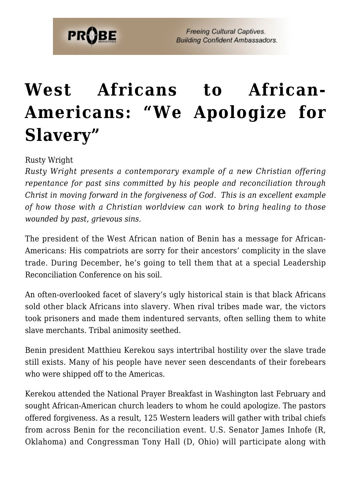## **[West Africans to African-](https://probe.org/west-africans-to-african-americans-we-apologize-for-slavery/)[Americans: "We Apologize for](https://probe.org/west-africans-to-african-americans-we-apologize-for-slavery/) [Slavery"](https://probe.org/west-africans-to-african-americans-we-apologize-for-slavery/)**

Rusty Wright

*Rusty Wright presents a contemporary example of a new Christian offering repentance for past sins committed by his people and reconciliation through Christ in moving forward in the forgiveness of God. This is an excellent example of how those with a Christian worldview can work to bring healing to those wounded by past, grievous sins.*

The president of the West African nation of Benin has a message for African-Americans: His compatriots are sorry for their ancestors' complicity in the slave trade. During December, he's going to tell them that at a special Leadership Reconciliation Conference on his soil.

An often-overlooked facet of slavery's ugly historical stain is that black Africans sold other black Africans into slavery. When rival tribes made war, the victors took prisoners and made them indentured servants, often selling them to white slave merchants. Tribal animosity seethed.

Benin president Matthieu Kerekou says intertribal hostility over the slave trade still exists. Many of his people have never seen descendants of their forebears who were shipped off to the Americas.

Kerekou attended the National Prayer Breakfast in Washington last February and sought African-American church leaders to whom he could apologize. The pastors offered forgiveness. As a result, 125 Western leaders will gather with tribal chiefs from across Benin for the reconciliation event. U.S. Senator James Inhofe (R, Oklahoma) and Congressman Tony Hall (D, Ohio) will participate along with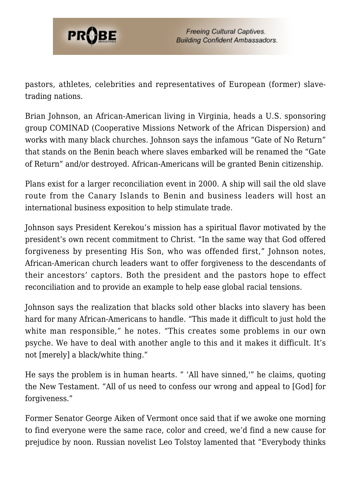

pastors, athletes, celebrities and representatives of European (former) slavetrading nations.

Brian Johnson, an African-American living in Virginia, heads a U.S. sponsoring group COMINAD (Cooperative Missions Network of the African Dispersion) and works with many black churches. Johnson says the infamous "Gate of No Return" that stands on the Benin beach where slaves embarked will be renamed the "Gate of Return" and/or destroyed. African-Americans will be granted Benin citizenship.

Plans exist for a larger reconciliation event in 2000. A ship will sail the old slave route from the Canary Islands to Benin and business leaders will host an international business exposition to help stimulate trade.

Johnson says President Kerekou's mission has a spiritual flavor motivated by the president's own recent commitment to Christ. "In the same way that God offered forgiveness by presenting His Son, who was offended first," Johnson notes, African-American church leaders want to offer forgiveness to the descendants of their ancestors' captors. Both the president and the pastors hope to effect reconciliation and to provide an example to help ease global racial tensions.

Johnson says the realization that blacks sold other blacks into slavery has been hard for many African-Americans to handle. "This made it difficult to just hold the white man responsible," he notes. "This creates some problems in our own psyche. We have to deal with another angle to this and it makes it difficult. It's not [merely] a black/white thing."

He says the problem is in human hearts. " 'All have sinned,'" he claims, quoting the New Testament. "All of us need to confess our wrong and appeal to [God] for forgiveness."

Former Senator George Aiken of Vermont once said that if we awoke one morning to find everyone were the same race, color and creed, we'd find a new cause for prejudice by noon. Russian novelist Leo Tolstoy lamented that "Everybody thinks